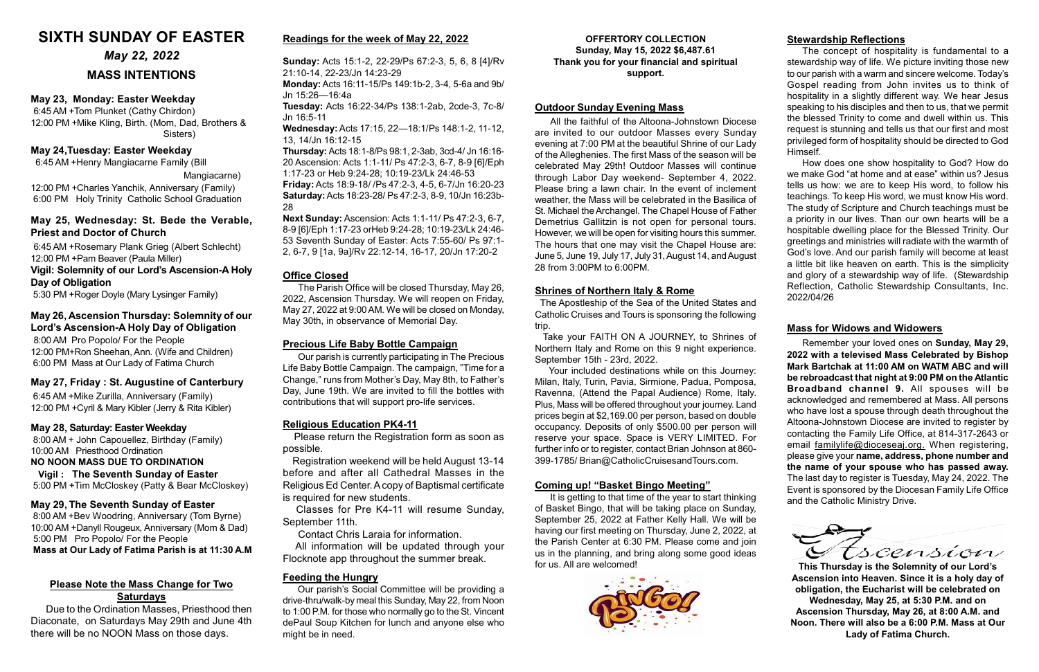#### May 29, The Seventh Sunday of Easter

 8:00 AM +Bev Woodring, Anniversary (Tom Byrne) 10:00 AM +Danyll Rougeux, Anniversary (Mom & Dad) 5:00 PM Pro Popolo/ For the People Mass at Our Lady of Fatima Parish is at 11:30 A.M

#### May 23, Monday: Easter Weekday

6:45 AM +Tom Plunket (Cathy Chirdon) 12:00 PM +Mike Kling, Birth. (Mom, Dad, Brothers & Sisters)

#### May 24,Tuesday: Easter Weekday

6:45 AM +Henry Mangiacarne Family (Bill

Mangiacarne)

12:00 PM +Charles Yanchik, Anniversary (Family) 6:00 PM Holy Trinity Catholic School Graduation

### May 25, Wednesday: St. Bede the Verable, Priest and Doctor of Church

6:45 AM +Rosemary Plank Grieg (Albert Schlecht) 12:00 PM +Pam Beaver (Paula Miller)

#### Vigil: Solemnity of our Lord's Ascension-A Holy Day of Obligation

5:30 PM +Roger Doyle (Mary Lysinger Family)

#### OFFERTORY COLLECTION Sunday, May 15, 2022 \$6,487.61 Thank you for your financial and spiritual support.

#### May 27, Friday : St. Augustine of Canterbury

 6:45 AM +Mike Zurilla, Anniversary (Family) 12:00 PM +Cyril & Mary Kibler (Jerry & Rita Kibler)

#### Mass for Widows and Widowers

Remember your loved ones on Sunday, May 29, 2022 with a televised Mass Celebrated by Bishop Mark Bartchak at 11:00 AM on WATM ABC and will be rebroadcast that night at 9:00 PM on the Atlantic Broadband channel 9. All spouses will be acknowledged and remembered at Mass. All persons who have lost a spouse through death throughout the Altoona-Johnstown Diocese are invited to register by contacting the Family Life Office, at 814-317-2643 or email familylife@dioceseaj.org. When registering, please give your name, address, phone number and the name of your spouse who has passed away. The last day to register is Tuesday, May 24, 2022. The Event is sponsored by the Diocesan Family Life Office and the Catholic Ministry Drive.



#### May 28, Saturday: Easter Weekday

 8:00 AM + John Capouellez, Birthday (Family) 10:00 AM Priesthood Ordination NO NOON MASS DUE TO ORDINATION

# Vigil : The Seventh Sunday of Easter

5:00 PM +Tim McCloskey (Patty & Bear McCloskey)

## May 22, 2022

# MASS INTENTIONS

#### May 26, Ascension Thursday: Solemnity of our Lord's Ascension-A Holy Day of Obligation

#### Please Note the Mass Change for Two **Saturdays**

8:00 AM Pro Popolo/ For the People 12:00 PM+Ron Sheehan, Ann. (Wife and Children) 6:00 PM Mass at Our Lady of Fatima Church

#### Stewardship Reflections

The concept of hospitality is fundamental to a stewardship way of life. We picture inviting those new to our parish with a warm and sincere welcome. Today's Gospel reading from John invites us to think of hospitality in a slightly different way. We hear Jesus speaking to his disciples and then to us, that we permit the blessed Trinity to come and dwell within us. This request is stunning and tells us that our first and most privileged form of hospitality should be directed to God Himself.

How does one show hospitality to God? How do we make God "at home and at ease" within us? Jesus tells us how: we are to keep His word, to follow his teachings. To keep His word, we must know His word. The study of Scripture and Church teachings must be a priority in our lives. Than our own hearts will be a hospitable dwelling place for the Blessed Trinity. Our greetings and ministries will radiate with the warmth of God's love. And our parish family will become at least a little bit like heaven on earth. This is the simplicity and glory of a stewardship way of life. (Stewardship Reflection, Catholic Stewardship Consultants, Inc. 2022/04/26

#### Feeding the Hungry

 Our parish's Social Committee will be providing a drive-thru/walk-by meal this Sunday, May 22, from Noon to 1:00 P.M. for those who normally go to the St. Vincent dePaul Soup Kitchen for lunch and anyone else who might be in need.

All the faithful of the Altoona-Johnstown Diocese are invited to our outdoor Masses every Sunday evening at 7:00 PM at the beautiful Shrine of our Lady of the Alleghenies. The first Mass of the season will be celebrated May 29th! Outdoor Masses will continue through Labor Day weekend- September 4, 2022. Please bring a lawn chair. In the event of inclement weather, the Mass will be celebrated in the Basilica of St. Michael the Archangel. The Chapel House of Father Demetrius Gallitzin is not open for personal tours. However, we will be open for visiting hours this summer. The hours that one may visit the Chapel House are: June 5, June 19, July 17, July 31, August 14, and August 28 from 3:00PM to 6:00PM.

Due to the Ordination Masses, Priesthood then Diaconate, on Saturdays May 29th and June 4th there will be no NOON Mass on those days.

## Readings for the week of May 22, 2022

Sunday: Acts 15:1-2, 22-29/Ps 67:2-3, 5, 6, 8 [4]/Rv 21:10-14, 22-23/Jn 14:23-29

Monday: Acts 16:11-15/Ps 149:1b-2, 3-4, 5-6a and 9b/ Jn 15:26—16:4a

Tuesday: Acts 16:22-34/Ps 138:1-2ab, 2cde-3, 7c-8/ Jn 16:5-11

Wednesday: Acts 17:15, 22—18:1/Ps 148:1-2, 11-12, 13, 14/Jn 16:12-15

Thursday: Acts 18:1-8/Ps 98:1, 2-3ab, 3cd-4/ Jn 16:16- 20 Ascension: Acts 1:1-11/ Ps 47:2-3, 6-7, 8-9 [6]/Eph 1:17-23 or Heb 9:24-28; 10:19-23/Lk 24:46-53 Friday: Acts 18:9-18/ /Ps 47:2-3, 4-5, 6-7/Jn 16:20-23 Saturday: Acts 18:23-28/ Ps 47:2-3, 8-9, 10/Jn 16:23b-28

Next Sunday: Ascension: Acts 1:1-11/ Ps 47:2-3, 6-7, 8-9 [6]/Eph 1:17-23 orHeb 9:24-28; 10:19-23/Lk 24:46- 53 Seventh Sunday of Easter: Acts 7:55-60/ Ps 97:1- 2, 6-7, 9 [1a, 9a]/Rv 22:12-14, 16-17, 20/Jn 17:20-2

#### Office Closed

The Parish Office will be closed Thursday, May 26, 2022, Ascension Thursday. We will reopen on Friday, May 27, 2022 at 9:00 AM. We will be closed on Monday, May 30th, in observance of Memorial Day.

#### Religious Education PK4-11

 Please return the Registration form as soon as possible.

 Registration weekend will be held August 13-14 before and after all Cathedral Masses in the Religious Ed Center. A copy of Baptismal certificate is required for new students.

 Classes for Pre K4-11 will resume Sunday, September 11th.

Contact Chris Laraia for information.

 All information will be updated through your Flocknote app throughout the summer break.

#### Shrines of Northern Italy & Rome

 The Apostleship of the Sea of the United States and Catholic Cruises and Tours is sponsoring the following trip.

 Take your FAITH ON A JOURNEY, to Shrines of Northern Italy and Rome on this 9 night experience. September 15th - 23rd, 2022.

 Your included destinations while on this Journey: Milan, Italy, Turin, Pavia, Sirmione, Padua, Pomposa, Ravenna, (Attend the Papal Audience) Rome, Italy. Plus, Mass will be offered throughout your journey. Land prices begin at \$2,169.00 per person, based on double occupancy. Deposits of only \$500.00 per person will reserve your space. Space is VERY LIMITED. For further info or to register, contact Brian Johnson at 860- 399-1785/ Brian@CatholicCruisesandTours.com.

#### Precious Life Baby Bottle Campaign

Our parish is currently participating in The Precious Life Baby Bottle Campaign. The campaign, "Time for a Change," runs from Mother's Day, May 8th, to Father's Day, June 19th. We are invited to fill the bottles with contributions that will support pro-life services.

#### Outdoor Sunday Evening Mass

#### Coming up! "Basket Bingo Meeting"

It is getting to that time of the year to start thinking of Basket Bingo, that will be taking place on Sunday, September 25, 2022 at Father Kelly Hall. We will be having our first meeting on Thursday, June 2, 2022, at the Parish Center at 6:30 PM. Please come and join us in the planning, and bring along some good ideas for us. All are welcomed!



# SIXTH SUNDAY OF EASTER

This Thursday is the Solemnity of our Lord's Ascension into Heaven. Since it is a holy day of obligation, the Eucharist will be celebrated on Wednesday, May 25, at 5:30 P.M. and on Ascension Thursday, May 26, at 8:00 A.M. and Noon. There will also be a 6:00 P.M. Mass at Our Lady of Fatima Church.